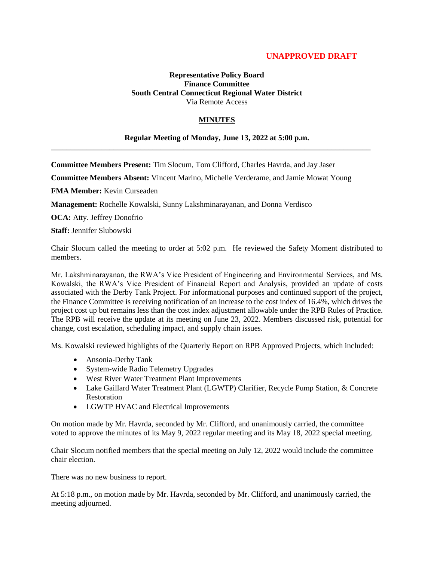# **UNAPPROVED DRAFT**

### **Representative Policy Board Finance Committee South Central Connecticut Regional Water District** Via Remote Access

## **MINUTES**

#### **Regular Meeting of Monday, June 13, 2022 at 5:00 p.m.**

**\_\_\_\_\_\_\_\_\_\_\_\_\_\_\_\_\_\_\_\_\_\_\_\_\_\_\_\_\_\_\_\_\_\_\_\_\_\_\_\_\_\_\_\_\_\_\_\_\_\_\_\_\_\_\_\_\_\_\_\_\_\_\_\_\_\_\_\_\_\_\_\_\_\_\_\_\_\_\_\_\_\_**

**Committee Members Present:** Tim Slocum, Tom Clifford, Charles Havrda, and Jay Jaser

**Committee Members Absent:** Vincent Marino, Michelle Verderame, and Jamie Mowat Young

**FMA Member:** Kevin Curseaden

**Management:** Rochelle Kowalski, Sunny Lakshminarayanan, and Donna Verdisco

**OCA:** Atty. Jeffrey Donofrio

**Staff:** Jennifer Slubowski

Chair Slocum called the meeting to order at 5:02 p.m. He reviewed the Safety Moment distributed to members.

Mr. Lakshminarayanan, the RWA's Vice President of Engineering and Environmental Services, and Ms. Kowalski, the RWA's Vice President of Financial Report and Analysis, provided an update of costs associated with the Derby Tank Project. For informational purposes and continued support of the project, the Finance Committee is receiving notification of an increase to the cost index of 16.4%, which drives the project cost up but remains less than the cost index adjustment allowable under the RPB Rules of Practice. The RPB will receive the update at its meeting on June 23, 2022. Members discussed risk, potential for change, cost escalation, scheduling impact, and supply chain issues.

Ms. Kowalski reviewed highlights of the Quarterly Report on RPB Approved Projects, which included:

- Ansonia-Derby Tank
- System-wide Radio Telemetry Upgrades
- West River Water Treatment Plant Improvements
- Lake Gaillard Water Treatment Plant (LGWTP) Clarifier, Recycle Pump Station, & Concrete Restoration
- LGWTP HVAC and Electrical Improvements

On motion made by Mr. Havrda, seconded by Mr. Clifford, and unanimously carried, the committee voted to approve the minutes of its May 9, 2022 regular meeting and its May 18, 2022 special meeting.

Chair Slocum notified members that the special meeting on July 12, 2022 would include the committee chair election.

There was no new business to report.

At 5:18 p.m., on motion made by Mr. Havrda, seconded by Mr. Clifford, and unanimously carried, the meeting adjourned.